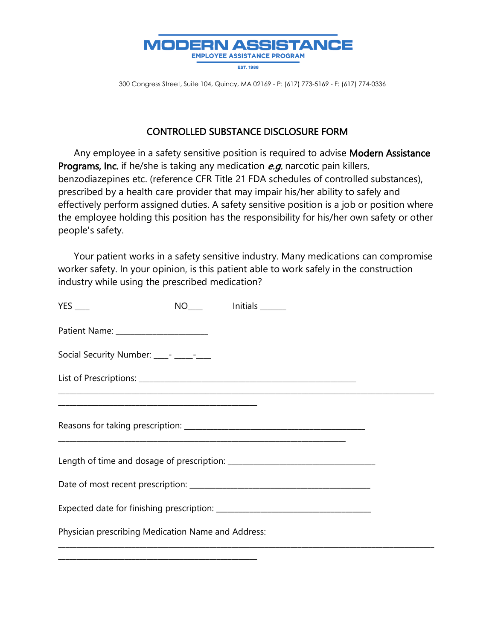

300 Congress Street, Suite 104, Quincy, MA 02169 - P: (617) 773-5169 - F: (617) 774-0336

## CONTROLLED SUBSTANCE DISCLOSURE FORM

Any employee in a safety sensitive position is required to advise Modern Assistance Programs, Inc. if he/she is taking any medication e.g. narcotic pain killers, benzodiazepines etc. (reference CFR Title 21 FDA schedules of controlled substances), prescribed by a health care provider that may impair his/her ability to safely and effectively perform assigned duties. A safety sensitive position is a job or position where the employee holding this position has the responsibility for his/her own safety or other people's safety.

 Your patient works in a safety sensitive industry. Many medications can compromise worker safety. In your opinion, is this patient able to work safely in the construction industry while using the prescribed medication?

| $YES$ <sub>---</sub>                               |  | NO <sub>___</sub> lnitials ______ |  |
|----------------------------------------------------|--|-----------------------------------|--|
|                                                    |  |                                   |  |
| Social Security Number: ____- ____- _____          |  |                                   |  |
|                                                    |  |                                   |  |
|                                                    |  |                                   |  |
|                                                    |  |                                   |  |
|                                                    |  |                                   |  |
|                                                    |  |                                   |  |
|                                                    |  |                                   |  |
| Physician prescribing Medication Name and Address: |  |                                   |  |

\_\_\_\_\_\_\_\_\_\_\_\_\_\_\_\_\_\_\_\_\_\_\_\_\_\_\_\_\_\_\_\_\_\_\_\_\_\_\_\_\_\_\_\_\_\_\_\_\_\_\_\_\_\_